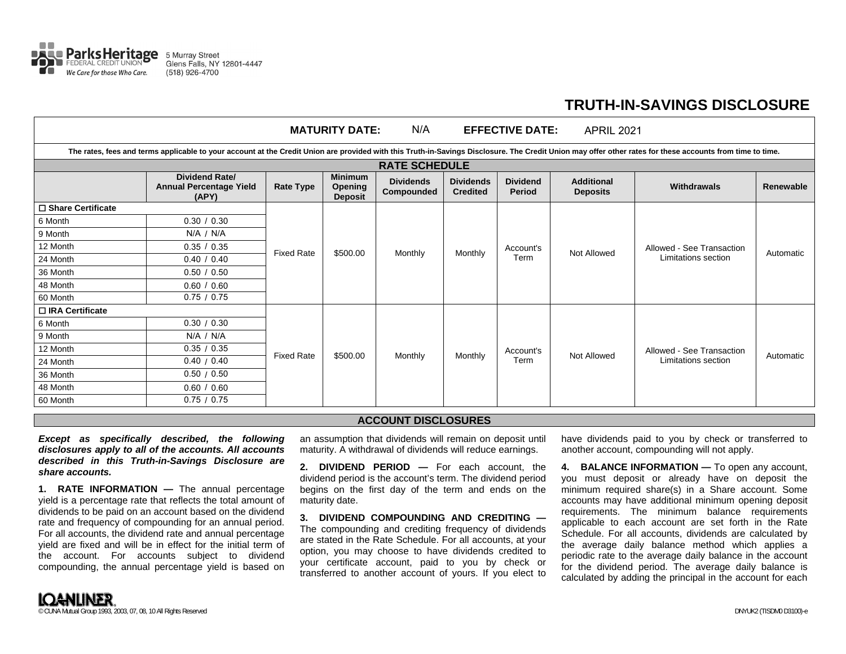

## **TRUTH-IN-SAVINGS DISCLOSURE**

| N/A<br><b>MATURITY DATE:</b><br><b>EFFECTIVE DATE:</b><br><b>APRIL 2021</b>                                                                                                                               |                                                                  |                   |                                             |                                |                                     |                                  |                                      |                                                  |           |  |  |
|-----------------------------------------------------------------------------------------------------------------------------------------------------------------------------------------------------------|------------------------------------------------------------------|-------------------|---------------------------------------------|--------------------------------|-------------------------------------|----------------------------------|--------------------------------------|--------------------------------------------------|-----------|--|--|
| The rates, fees and terms applicable to your account at the Credit Union are provided with this Truth-in-Savings Disclosure. The Credit Union may offer other rates for these accounts from time to time. |                                                                  |                   |                                             |                                |                                     |                                  |                                      |                                                  |           |  |  |
| <b>RATE SCHEDULE</b>                                                                                                                                                                                      |                                                                  |                   |                                             |                                |                                     |                                  |                                      |                                                  |           |  |  |
|                                                                                                                                                                                                           | <b>Dividend Rate/</b><br><b>Annual Percentage Yield</b><br>(APY) | <b>Rate Type</b>  | <b>Minimum</b><br>Opening<br><b>Deposit</b> | <b>Dividends</b><br>Compounded | <b>Dividends</b><br><b>Credited</b> | <b>Dividend</b><br><b>Period</b> | <b>Additional</b><br><b>Deposits</b> | <b>Withdrawals</b>                               | Renewable |  |  |
| □ Share Certificate                                                                                                                                                                                       |                                                                  |                   |                                             |                                |                                     |                                  |                                      |                                                  |           |  |  |
| 6 Month                                                                                                                                                                                                   | 0.30 / 0.30                                                      | <b>Fixed Rate</b> | \$500.00                                    | Monthly                        | Monthly                             | Account's<br>Term                | <b>Not Allowed</b>                   | Allowed - See Transaction<br>Limitations section | Automatic |  |  |
| 9 Month                                                                                                                                                                                                   | N/A / N/A                                                        |                   |                                             |                                |                                     |                                  |                                      |                                                  |           |  |  |
| 12 Month                                                                                                                                                                                                  | 0.35 / 0.35                                                      |                   |                                             |                                |                                     |                                  |                                      |                                                  |           |  |  |
| 24 Month                                                                                                                                                                                                  | 0.40 / 0.40                                                      |                   |                                             |                                |                                     |                                  |                                      |                                                  |           |  |  |
| 36 Month                                                                                                                                                                                                  | 0.50 / 0.50                                                      |                   |                                             |                                |                                     |                                  |                                      |                                                  |           |  |  |
| 48 Month                                                                                                                                                                                                  | 0.60 / 0.60                                                      |                   |                                             |                                |                                     |                                  |                                      |                                                  |           |  |  |
| 60 Month                                                                                                                                                                                                  | 0.75 / 0.75                                                      |                   |                                             |                                |                                     |                                  |                                      |                                                  |           |  |  |
| □ IRA Certificate                                                                                                                                                                                         |                                                                  |                   |                                             |                                |                                     |                                  |                                      |                                                  |           |  |  |
| 6 Month                                                                                                                                                                                                   | 0.30 / 0.30                                                      | <b>Fixed Rate</b> | \$500.00                                    | Monthly                        | <b>Monthly</b>                      | Account's<br>Term                | <b>Not Allowed</b>                   | Allowed - See Transaction<br>Limitations section | Automatic |  |  |
| 9 Month                                                                                                                                                                                                   | $N/A$ / $N/A$                                                    |                   |                                             |                                |                                     |                                  |                                      |                                                  |           |  |  |
| 12 Month                                                                                                                                                                                                  | 0.35 / 0.35                                                      |                   |                                             |                                |                                     |                                  |                                      |                                                  |           |  |  |
| 24 Month                                                                                                                                                                                                  | 0.40 / 0.40                                                      |                   |                                             |                                |                                     |                                  |                                      |                                                  |           |  |  |
| 36 Month                                                                                                                                                                                                  | 0.50 / 0.50                                                      |                   |                                             |                                |                                     |                                  |                                      |                                                  |           |  |  |
| 48 Month                                                                                                                                                                                                  | 0.60 / 0.60                                                      |                   |                                             |                                |                                     |                                  |                                      |                                                  |           |  |  |
| 60 Month                                                                                                                                                                                                  | 0.75 / 0.75                                                      |                   |                                             |                                |                                     |                                  |                                      |                                                  |           |  |  |

## **ACCOUNT DISCLOSURES**

*Except as specifically described, the following disclosures apply to all of the accounts. All accounts described in this Truth-in-Savings Disclosure are share accounts.* 

**1. RATE INFORMATION —** The annual percentage yield is a percentage rate that reflects the total amount of dividends to be paid on an account based on the dividend rate and frequency of compounding for an annual period. For all accounts, the dividend rate and annual percentage yield are fixed and will be in effect for the initial term of the account. For accounts subject to dividend compounding, the annual percentage yield is based on an assumption that dividends will remain on deposit until maturity. A withdrawal of dividends will reduce earnings.

**2. DIVIDEND PERIOD —** For each account, the dividend period is the account's term. The dividend period begins on the first day of the term and ends on the maturity date.

**3. DIVIDEND COMPOUNDING AND CREDITING —** The compounding and crediting frequency of dividends are stated in the Rate Schedule. For all accounts, at your option, you may choose to have dividends credited to your certificate account, paid to you by check or transferred to another account of yours. If you elect to

have dividends paid to you by check or transferred to another account, compounding will not apply.

**4. BALANCE INFORMATION —** To open any account, you must deposit or already have on deposit the minimum required share(s) in a Share account. Some accounts may have additional minimum opening deposit requirements. The minimum balance requirements applicable to each account are set forth in the Rate Schedule. For all accounts, dividends are calculated by the average daily balance method which applies a periodic rate to the average daily balance in the account for the dividend period. The average daily balance is calculated by adding the principal in the account for each